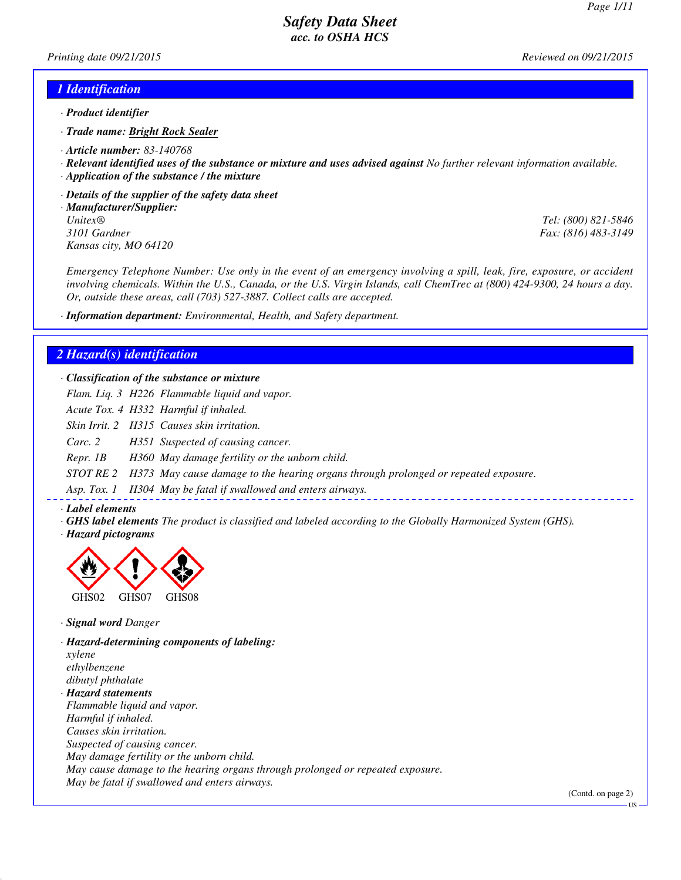*Printing date 09/21/2015 Reviewed on 09/21/2015*

#### *1 Identification*

- *· Product identifier*
- *· Trade name: Bright Rock Sealer*
- *· Article number: 83-140768*
- *· Relevant identified uses of the substance or mixture and uses advised against No further relevant information available.*
- *· Application of the substance / the mixture*
- *· Details of the supplier of the safety data sheet*
- *· Manufacturer/Supplier: Unitex® Tel: (800) 821-5846 Kansas city, MO 64120*

*3101 Gardner Fax: (816) 483-3149*

*Emergency Telephone Number: Use only in the event of an emergency involving a spill, leak, fire, exposure, or accident involving chemicals. Within the U.S., Canada, or the U.S. Virgin Islands, call ChemTrec at (800) 424-9300, 24 hours a day. Or, outside these areas, call (703) 527-3887. Collect calls are accepted.*

*· Information department: Environmental, Health, and Safety department.*

#### *2 Hazard(s) identification*

#### *· Classification of the substance or mixture*

*Flam. Liq. 3 H226 Flammable liquid and vapor.*

*Acute Tox. 4 H332 Harmful if inhaled.*

*Skin Irrit. 2 H315 Causes skin irritation.*

*Carc. 2 H351 Suspected of causing cancer.*

*Repr. 1B H360 May damage fertility or the unborn child.*

*STOT RE 2 H373 May cause damage to the hearing organs through prolonged or repeated exposure.*

*Asp. Tox. 1 H304 May be fatal if swallowed and enters airways.*

- *· Label elements*
- *· GHS label elements The product is classified and labeled according to the Globally Harmonized System (GHS).*
- *· Hazard pictograms*



*· Signal word Danger*

*· Hazard-determining components of labeling: xylene ethylbenzene dibutyl phthalate · Hazard statements Flammable liquid and vapor. Harmful if inhaled. Causes skin irritation. Suspected of causing cancer. May damage fertility or the unborn child. May cause damage to the hearing organs through prolonged or repeated exposure. May be fatal if swallowed and enters airways.*

(Contd. on page 2)

**HS**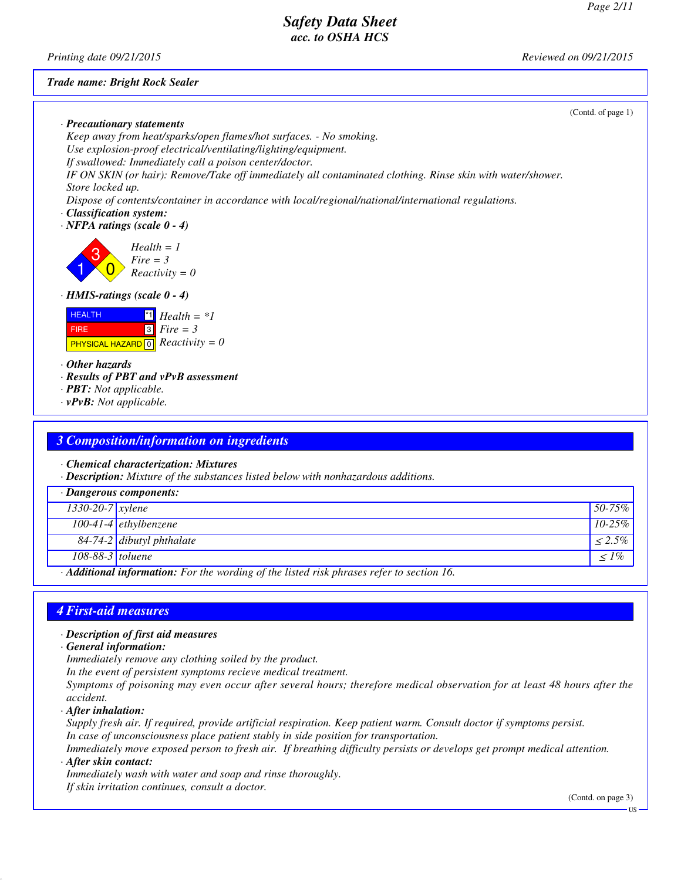*Printing date 09/21/2015 Reviewed on 09/21/2015*

#### *Trade name: Bright Rock Sealer*

|                                                                                                                                              | (Cond. of page 1) |
|----------------------------------------------------------------------------------------------------------------------------------------------|-------------------|
| $\cdot$ Precautionary statements                                                                                                             |                   |
| Keep away from heat/sparks/open flames/hot surfaces. - No smoking.                                                                           |                   |
| Use explosion-proof electrical/ventilating/lighting/equipment.                                                                               |                   |
| If swallowed: Immediately call a poison center/doctor.                                                                                       |                   |
| IF ON SKIN (or hair): Remove/Take off immediately all contaminated clothing. Rinse skin with water/shower.                                   |                   |
| Store locked up.                                                                                                                             |                   |
| Dispose of contents/container in accordance with local/regional/national/international regulations.                                          |                   |
| · Classification system:                                                                                                                     |                   |
| $\cdot$ NFPA ratings (scale 0 - 4)                                                                                                           |                   |
|                                                                                                                                              |                   |
| $Health = 1$<br>Fire = $3$<br>Reactivity = $0$                                                                                               |                   |
|                                                                                                                                              |                   |
| $\cdot$ HMIS-ratings (scale 0 - 4)                                                                                                           |                   |
| $\mathbf{H}$ Health = *1<br><b>HEALTH</b><br>$\boxed{3}$ Fire = 3<br><b>FIRE</b><br><b>PHYSICAL HAZARD</b> $\boxed{0}$ <i>Reactivity</i> = 0 |                   |
| $\cdot$ Other hazards                                                                                                                        |                   |
| · Results of PBT and vPvB assessment                                                                                                         |                   |
| $\cdot$ <b>PBT:</b> Not applicable.                                                                                                          |                   |
| $\cdot$ vPvB: Not applicable.                                                                                                                |                   |
|                                                                                                                                              |                   |
|                                                                                                                                              |                   |

## *3 Composition/information on ingredients*

*· Chemical characterization: Mixtures*

*· Description: Mixture of the substances listed below with nonhazardous additions.*

| · Dangerous components:                                                                |                             |           |
|----------------------------------------------------------------------------------------|-----------------------------|-----------|
| $1330-20-7$ xylene                                                                     |                             | $50-75\%$ |
|                                                                                        | $100-41-4$ ethylbenzene     | $10-25\%$ |
|                                                                                        | $84-74-2$ dibutyl phthalate | $< 2.5\%$ |
| 108-88-3 $toluene$                                                                     |                             | $\leq$ 1% |
| Additional information: For the wording of the listed risk phrases refer to section 16 |                             |           |

*· Additional information: For the wording of the listed risk phrases refer to section 16.*

#### *4 First-aid measures*

#### *· Description of first aid measures*

*· General information:*

*Immediately remove any clothing soiled by the product.*

*In the event of persistent symptoms recieve medical treatment.*

*Symptoms of poisoning may even occur after several hours; therefore medical observation for at least 48 hours after the accident.*

*· After inhalation:*

*Supply fresh air. If required, provide artificial respiration. Keep patient warm. Consult doctor if symptoms persist. In case of unconsciousness place patient stably in side position for transportation.*

*Immediately move exposed person to fresh air. If breathing difficulty persists or develops get prompt medical attention. · After skin contact:*

*Immediately wash with water and soap and rinse thoroughly. If skin irritation continues, consult a doctor.*

(Contd. on page 3)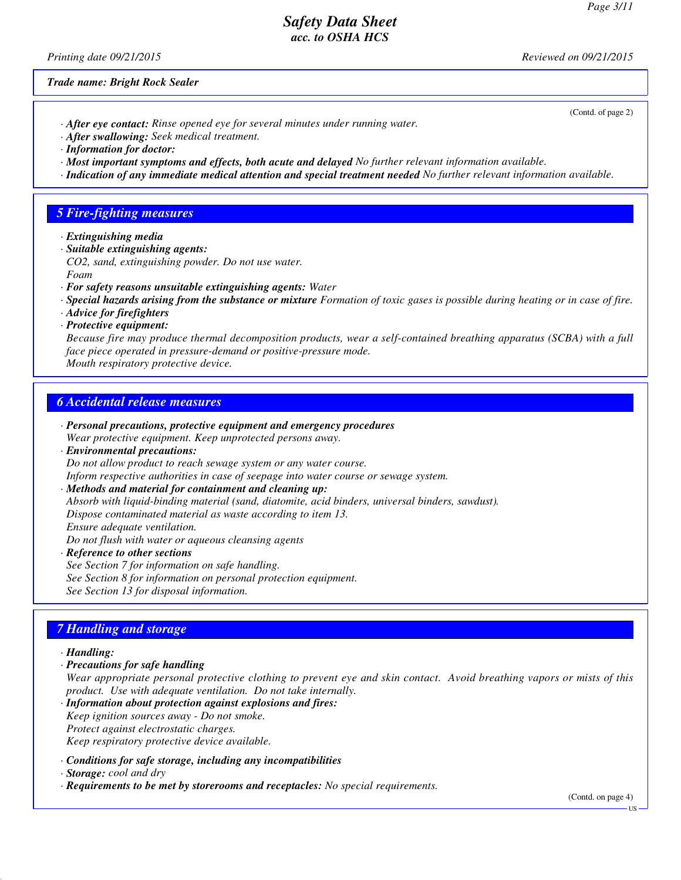*Printing date 09/21/2015 Reviewed on 09/21/2015*

*Trade name: Bright Rock Sealer*

- *· After eye contact: Rinse opened eye for several minutes under running water.*
- *· After swallowing: Seek medical treatment.*
- *· Information for doctor:*
- *· Most important symptoms and effects, both acute and delayed No further relevant information available.*
- *· Indication of any immediate medical attention and special treatment needed No further relevant information available.*

#### *5 Fire-fighting measures*

- *· Extinguishing media*
- *· Suitable extinguishing agents:*
- *CO2, sand, extinguishing powder. Do not use water. Foam*
- *· For safety reasons unsuitable extinguishing agents: Water*
- *· Special hazards arising from the substance or mixture Formation of toxic gases is possible during heating or in case of fire.*
- *· Advice for firefighters*
- *· Protective equipment:*

*Because fire may produce thermal decomposition products, wear a self-contained breathing apparatus (SCBA) with a full face piece operated in pressure-demand or positive-pressure mode. Mouth respiratory protective device.*

#### *6 Accidental release measures*

- *· Personal precautions, protective equipment and emergency procedures*
- *Wear protective equipment. Keep unprotected persons away.*
- *· Environmental precautions:*

*Do not allow product to reach sewage system or any water course.*

*Inform respective authorities in case of seepage into water course or sewage system.*

- *· Methods and material for containment and cleaning up:*
- *Absorb with liquid-binding material (sand, diatomite, acid binders, universal binders, sawdust).*

*Dispose contaminated material as waste according to item 13.*

*Ensure adequate ventilation.*

*Do not flush with water or aqueous cleansing agents*

*· Reference to other sections See Section 7 for information on safe handling. See Section 8 for information on personal protection equipment. See Section 13 for disposal information.*

## *7 Handling and storage*

#### *· Handling:*

*· Precautions for safe handling*

*Wear appropriate personal protective clothing to prevent eye and skin contact. Avoid breathing vapors or mists of this product. Use with adequate ventilation. Do not take internally.*

- *· Information about protection against explosions and fires: Keep ignition sources away - Do not smoke. Protect against electrostatic charges. Keep respiratory protective device available.*
- *· Conditions for safe storage, including any incompatibilities*
- *· Storage: cool and dry*
- *· Requirements to be met by storerooms and receptacles: No special requirements.*

(Contd. on page 4)

#### (Contd. of page 2)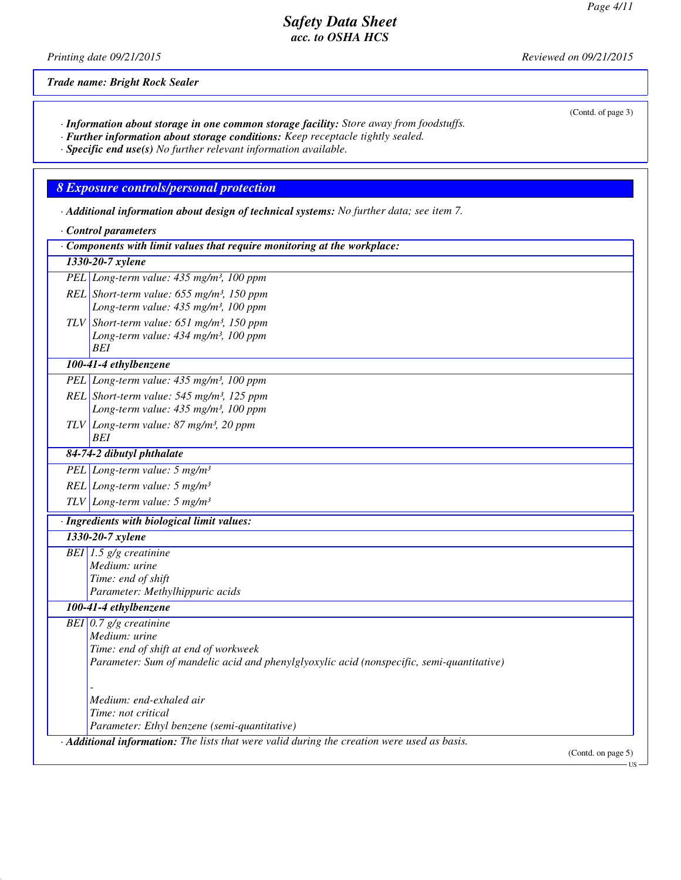(Contd. of page 3)

US

# *Safety Data Sheet acc. to OSHA HCS*

*Printing date 09/21/2015 Reviewed on 09/21/2015*

*Trade name: Bright Rock Sealer*

- *· Information about storage in one common storage facility: Store away from foodstuffs.*
- *· Further information about storage conditions: Keep receptacle tightly sealed.*
- *· Specific end use(s) No further relevant information available.*

#### *8 Exposure controls/personal protection*

- *· Additional information about design of technical systems: No further data; see item 7.*
- *· Control parameters*

| $\cdot$ Components with limit values that require monitoring at the workplace:                                                                                                  |                    |
|---------------------------------------------------------------------------------------------------------------------------------------------------------------------------------|--------------------|
| 1330-20-7 xylene                                                                                                                                                                |                    |
| PEL Long-term value: 435 mg/m <sup>3</sup> , 100 ppm                                                                                                                            |                    |
| REL Short-term value: $655$ mg/m <sup>3</sup> , 150 ppm<br>Long-term value: 435 mg/m <sup>3</sup> , 100 ppm                                                                     |                    |
| TLV Short-term value: $651$ mg/m <sup>3</sup> , 150 ppm<br>Long-term value: 434 mg/m <sup>3</sup> , 100 ppm<br>BEI                                                              |                    |
| 100-41-4 ethylbenzene                                                                                                                                                           |                    |
| PEL Long-term value: 435 mg/m <sup>3</sup> , 100 ppm                                                                                                                            |                    |
| REL Short-term value: $545$ mg/m <sup>3</sup> , 125 ppm<br>Long-term value: 435 mg/m <sup>3</sup> , 100 ppm                                                                     |                    |
| $TLV$ Long-term value: 87 mg/m <sup>3</sup> , 20 ppm<br><b>BEI</b>                                                                                                              |                    |
| 84-74-2 dibutyl phthalate                                                                                                                                                       |                    |
| PEL Long-term value: $5 \text{ mg/m}^3$                                                                                                                                         |                    |
| REL Long-term value: $5 \text{ mg/m}^3$                                                                                                                                         |                    |
| TLV Long-term value: $5 \ mg/m^3$                                                                                                                                               |                    |
| · Ingredients with biological limit values:                                                                                                                                     |                    |
| 1330-20-7 xylene                                                                                                                                                                |                    |
| BEI 1.5 $g/g$ creatinine<br>Medium: urine<br>Time: end of shift<br>Parameter: Methylhippuric acids                                                                              |                    |
| 100-41-4 ethylbenzene                                                                                                                                                           |                    |
| BEI $0.7$ g/g creatinine<br>Medium: urine<br>Time: end of shift at end of workweek<br>Parameter: Sum of mandelic acid and phenylglyoxylic acid (nonspecific, semi-quantitative) |                    |
| Medium: end-exhaled air<br>Time: not critical<br>Parameter: Ethyl benzene (semi-quantitative)                                                                                   |                    |
| Additional information: The lists that were valid during the creation were used as basis.                                                                                       | (Contd. on page 5) |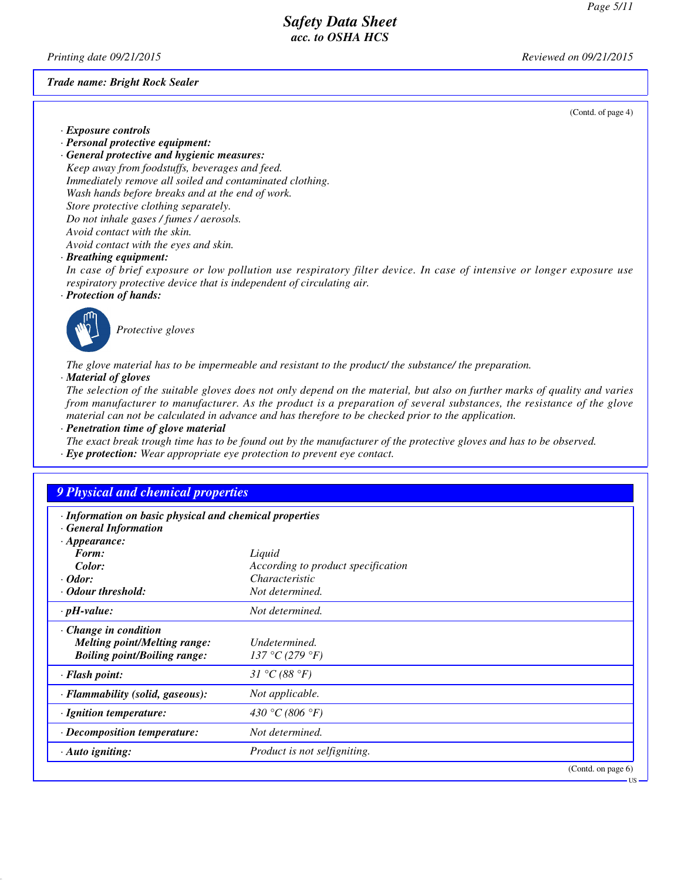*Printing date 09/21/2015 Reviewed on 09/21/2015*

*Trade name: Bright Rock Sealer*

(Contd. of page 4)

- *· Exposure controls*
- *· Personal protective equipment:*
- *· General protective and hygienic measures: Keep away from foodstuffs, beverages and feed. Immediately remove all soiled and contaminated clothing. Wash hands before breaks and at the end of work. Store protective clothing separately. Do not inhale gases / fumes / aerosols. Avoid contact with the skin. Avoid contact with the eyes and skin.*

*· Breathing equipment:*

*In case of brief exposure or low pollution use respiratory filter device. In case of intensive or longer exposure use respiratory protective device that is independent of circulating air.*

*· Protection of hands:*



*Protective gloves*

*The glove material has to be impermeable and resistant to the product/ the substance/ the preparation.*

*· Material of gloves*

*The selection of the suitable gloves does not only depend on the material, but also on further marks of quality and varies from manufacturer to manufacturer. As the product is a preparation of several substances, the resistance of the glove material can not be calculated in advance and has therefore to be checked prior to the application.*

*· Penetration time of glove material*

*The exact break trough time has to be found out by the manufacturer of the protective gloves and has to be observed. · Eye protection: Wear appropriate eye protection to prevent eye contact.*

## *9 Physical and chemical properties*

| · Information on basic physical and chemical properties |  |  |  |
|---------------------------------------------------------|--|--|--|
|                                                         |  |  |  |

| <b>General Information</b>          |                                           |
|-------------------------------------|-------------------------------------------|
| $\cdot$ Appearance:                 |                                           |
| Form:                               | Liquid                                    |
| Color:                              | According to product specification        |
| $\cdot$ Odor:                       | Characteristic                            |
| • Odour threshold:                  | Not determined.                           |
| $\cdot$ pH-value:                   | Not determined.                           |
| $\cdot$ Change in condition         |                                           |
| <b>Melting point/Melting range:</b> | Undetermined.                             |
| <b>Boiling point/Boiling range:</b> | 137 °C (279 °F)                           |
| · Flash point:                      | 31 °C (88 °F)                             |
| · Flammability (solid, gaseous):    | Not applicable.                           |
| · Ignition temperature:             | 430 °C (806 °F)                           |
| · Decomposition temperature:        | Not determined.                           |
| · Auto igniting:                    | Product is not selfigniting.              |
|                                     | $(\Gamma_{\text{cust}})$ on none $\Gamma$ |

(Contd. on page 6)

US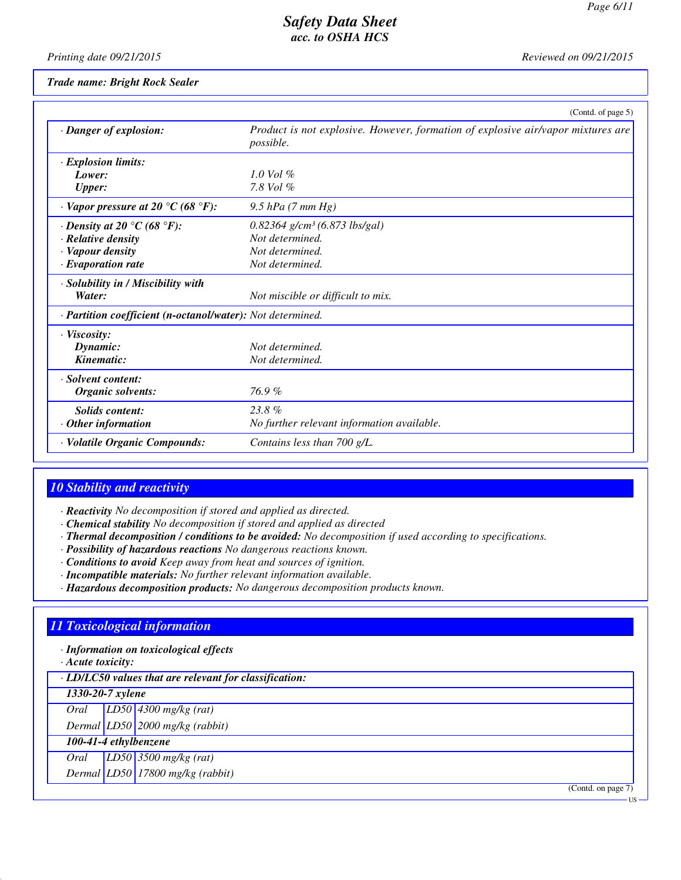*Printing date 09/21/2015 Reviewed on 09/21/2015*

#### *Trade name: Bright Rock Sealer*

|                                                            | (Contd. of page 5)                                                                                   |
|------------------------------------------------------------|------------------------------------------------------------------------------------------------------|
| · Danger of explosion:                                     | Product is not explosive. However, formation of explosive air/vapor mixtures are<br><i>possible.</i> |
| $\cdot$ Explosion limits:                                  |                                                                                                      |
| Lower:                                                     | $1.0$ Vol $%$                                                                                        |
| <b>Upper:</b>                                              | 7.8 Vol $\%$                                                                                         |
| $\cdot$ Vapor pressure at 20 °C (68 °F):                   | 9.5 $hPa$ (7 mm $Hg$ )                                                                               |
| $\cdot$ Density at 20 °C (68 °F):                          | $0.82364$ g/cm <sup>3</sup> (6.873 lbs/gal)                                                          |
| · Relative density                                         | Not determined.                                                                                      |
| · Vapour density                                           | Not determined.                                                                                      |
| $\cdot$ Evaporation rate                                   | Not determined.                                                                                      |
| · Solubility in / Miscibility with                         |                                                                                                      |
| Water:                                                     | Not miscible or difficult to mix.                                                                    |
| · Partition coefficient (n-octanol/water): Not determined. |                                                                                                      |
| · Viscosity:                                               |                                                                                                      |
| Dynamic:                                                   | Not determined.                                                                                      |
| Kinematic:                                                 | Not determined.                                                                                      |
| · Solvent content:                                         |                                                                                                      |
| Organic solvents:                                          | 76.9%                                                                                                |
| <b>Solids content:</b>                                     | $23.8\%$                                                                                             |
| $\cdot$ Other information                                  | No further relevant information available.                                                           |
| · Volatile Organic Compounds:                              | Contains less than 700 g/L.                                                                          |

# *10 Stability and reactivity*

- *· Reactivity No decomposition if stored and applied as directed.*
- *· Chemical stability No decomposition if stored and applied as directed*
- *· Thermal decomposition / conditions to be avoided: No decomposition if used according to specifications.*
- *· Possibility of hazardous reactions No dangerous reactions known.*
- *· Conditions to avoid Keep away from heat and sources of ignition.*
- *· Incompatible materials: No further relevant information available.*
- *· Hazardous decomposition products: No dangerous decomposition products known.*

## *11 Toxicological information*

*· Information on toxicological effects*

*· Acute toxicity:*

| · LD/LC50 values that are relevant for classification: |  |  |
|--------------------------------------------------------|--|--|
|--------------------------------------------------------|--|--|

*1330-20-7 xylene*

*Oral LD50 4300 mg/kg (rat)*

*Dermal LD50 2000 mg/kg (rabbit)*

|  | 100-41-4 ethylbenzene |
|--|-----------------------|
|--|-----------------------|

*Oral LD50 3500 mg/kg (rat)*

*Dermal LD50 17800 mg/kg (rabbit)*

(Contd. on page 7)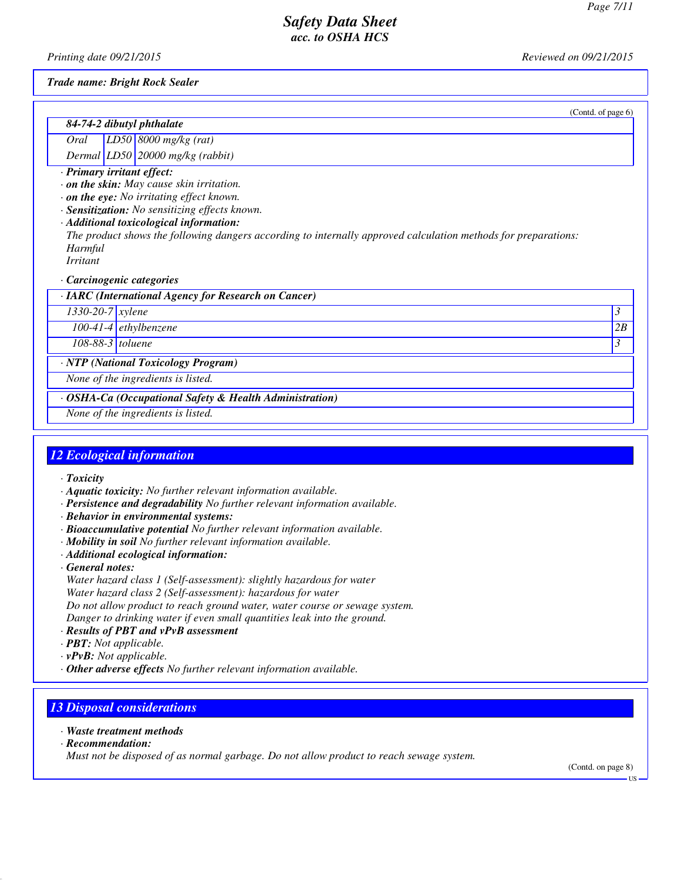(Contd. of page 6)

# *Safety Data Sheet acc. to OSHA HCS*

*Printing date 09/21/2015 Reviewed on 09/21/2015*

*Trade name: Bright Rock Sealer*

| 84-74-2 dibutyl phthalate                       |  |                                                |
|-------------------------------------------------|--|------------------------------------------------|
|                                                 |  | $\boxed{Oral$ $\boxed{L D50}$ 8000 mg/kg (rat) |
|                                                 |  | Dermal $LD50$ 20000 mg/kg (rabbit)             |
| · Primary irritant effect:                      |  |                                                |
| $\cdot$ on the skin: May cause skin irritation. |  |                                                |
| $\cdot$ on the eye: No irritating effect known. |  |                                                |
| · Sensitization: No sensitizing effects known.  |  |                                                |

*· Additional toxicological information:*

*The product shows the following dangers according to internally approved calculation methods for preparations: Harmful*

*Irritant*

#### *· Carcinogenic categories*

| · IARC (International Agency for Research on Cancer) |  |  |  |
|------------------------------------------------------|--|--|--|
|------------------------------------------------------|--|--|--|

*1330-20-7 xylene 3* 

*100-41-4 ethylbenzene 2B*

*108-88-3 toluene 3* 

*· NTP (National Toxicology Program)*

*None of the ingredients is listed.*

*· OSHA-Ca (Occupational Safety & Health Administration)*

*None of the ingredients is listed.*

## *12 Ecological information*

- *· Toxicity*
- *· Aquatic toxicity: No further relevant information available.*
- *· Persistence and degradability No further relevant information available.*
- *· Behavior in environmental systems:*
- *· Bioaccumulative potential No further relevant information available.*
- *· Mobility in soil No further relevant information available.*
- *· Additional ecological information:*
- *· General notes:*

*Water hazard class 1 (Self-assessment): slightly hazardous for water Water hazard class 2 (Self-assessment): hazardous for water Do not allow product to reach ground water, water course or sewage system. Danger to drinking water if even small quantities leak into the ground.*

- *· Results of PBT and vPvB assessment*
- *· PBT: Not applicable.*
- *· vPvB: Not applicable.*
- *· Other adverse effects No further relevant information available.*

## *13 Disposal considerations*

- *· Waste treatment methods*
- *· Recommendation:*

*Must not be disposed of as normal garbage. Do not allow product to reach sewage system.*

(Contd. on page 8)

US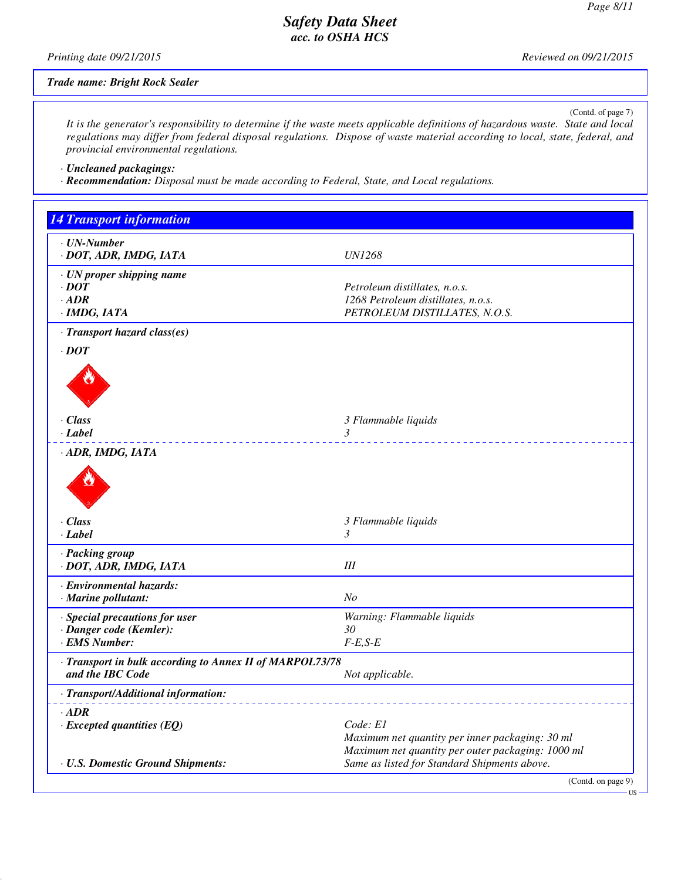*Printing date 09/21/2015 Reviewed on 09/21/2015*

*Trade name: Bright Rock Sealer*

(Contd. of page 7)

US

*It is the generator's responsibility to determine if the waste meets applicable definitions of hazardous waste. State and local regulations may differ from federal disposal regulations. Dispose of waste material according to local, state, federal, and provincial environmental regulations.*

*· Uncleaned packagings:*

*· Recommendation: Disposal must be made according to Federal, State, and Local regulations.*

| <b>14 Transport information</b>                                              |                                                                                                                  |
|------------------------------------------------------------------------------|------------------------------------------------------------------------------------------------------------------|
| · UN-Number<br>· DOT, ADR, IMDG, IATA                                        | <b>UN1268</b>                                                                                                    |
| · UN proper shipping name<br>$\cdot$ DOT<br>$·$ ADR<br>$·$ <i>IMDG, IATA</i> | Petroleum distillates, n.o.s.<br>1268 Petroleum distillates, n.o.s.<br>PETROLEUM DISTILLATES, N.O.S.             |
| · Transport hazard class(es)                                                 |                                                                                                                  |
| $\cdot$ DOT                                                                  |                                                                                                                  |
| · Class<br>· Label                                                           | 3 Flammable liquids<br>$\mathfrak{Z}$<br><u> 22222222222</u>                                                     |
| · ADR, IMDG, IATA                                                            |                                                                                                                  |
| · Class<br>· Label                                                           | 3 Flammable liquids<br>$\mathfrak{Z}$                                                                            |
| · Packing group<br>· DOT, ADR, IMDG, IATA                                    | $I\!I\!I$                                                                                                        |
| · Environmental hazards:<br>· Marine pollutant:                              | N <sub>O</sub>                                                                                                   |
| · Special precautions for user<br>· Danger code (Kemler):<br>· EMS Number:   | Warning: Flammable liquids<br>30<br>$F-E, S-E$                                                                   |
| · Transport in bulk according to Annex II of MARPOL73/78<br>and the IBC Code | Not applicable.                                                                                                  |
| · Transport/Additional information:                                          |                                                                                                                  |
| $\cdot$ ADR<br>$\cdot$ Excepted quantities (EQ)                              | Code: E1<br>Maximum net quantity per inner packaging: 30 ml<br>Maximum net quantity per outer packaging: 1000 ml |
| · U.S. Domestic Ground Shipments:                                            | Same as listed for Standard Shipments above.                                                                     |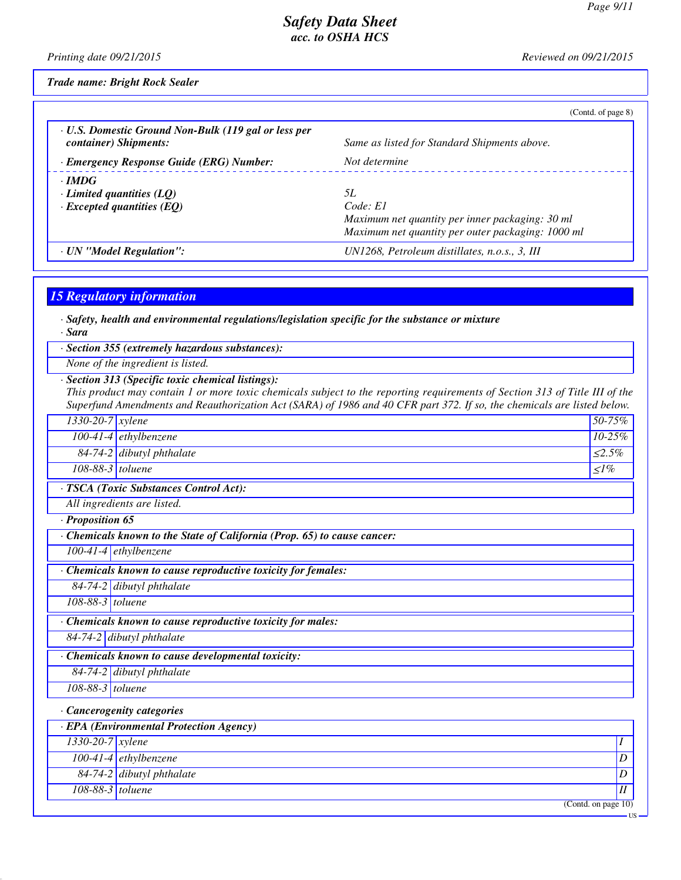*Printing date 09/21/2015 Reviewed on 09/21/2015*

*Trade name: Bright Rock Sealer*

|                                                                                     | (Contd. of page 8)                                                                                                     |
|-------------------------------------------------------------------------------------|------------------------------------------------------------------------------------------------------------------------|
| · U.S. Domestic Ground Non-Bulk (119 gal or less per<br>container) Shipments:       | Same as listed for Standard Shipments above.                                                                           |
| · Emergency Response Guide (ERG) Number:                                            | Not determine                                                                                                          |
| $\cdot$ IMDG<br>$\cdot$ Limited quantities (LQ)<br>$\cdot$ Excepted quantities (EQ) | 5L<br>Code: El<br>Maximum net quantity per inner packaging: 30 ml<br>Maximum net quantity per outer packaging: 1000 ml |
| · UN "Model Regulation":                                                            | UN1268, Petroleum distillates, n.o.s., 3, III                                                                          |

# *15 Regulatory information*

*· Safety, health and environmental regulations/legislation specific for the substance or mixture*

*· Sara*

*· Section 355 (extremely hazardous substances):*

*None of the ingredient is listed.*

## *· Section 313 (Specific toxic chemical listings):*

*This product may contain 1 or more toxic chemicals subject to the reporting requirements of Section 313 of Title III of the Superfund Amendments and Reauthorization Act (SARA) of 1986 and 40 CFR part 372. If so, the chemicals are listed below.*

| $\mathbf{A} \mathbf{B} \mathbf{B}$ and $\mathbf{B}$ and $\mathbf{B}$ are $\mathbf{B}$ and $\mathbf{B}$ and $\mathbf{B}$ are $\mathbf{B}$ and $\mathbf{B}$ |                             |              |  |  |
|-----------------------------------------------------------------------------------------------------------------------------------------------------------|-----------------------------|--------------|--|--|
| · TSCA (Toxic Substances Control Act):                                                                                                                    |                             |              |  |  |
| $108-88-3$ toluene                                                                                                                                        |                             | $\langle$ 1% |  |  |
|                                                                                                                                                           | $84-74-2$ dibutyl phthalate | $\leq 2.5\%$ |  |  |
|                                                                                                                                                           | 100-41-4 ethylbenzene       | $10 - 25\%$  |  |  |
| $1330-20-7$ xylene                                                                                                                                        |                             | $50 - 75\%$  |  |  |

*All ingredients are listed.*

*· Proposition 65*

*· Chemicals known to the State of California (Prop. 65) to cause cancer:*

*100-41-4 ethylbenzene*

*· Chemicals known to cause reproductive toxicity for females:*

*84-74-2 dibutyl phthalate*

*108-88-3 toluene*

*· Chemicals known to cause reproductive toxicity for males:*

*84-74-2 dibutyl phthalate*

*· Chemicals known to cause developmental toxicity:*

*84-74-2 dibutyl phthalate*

*108-88-3 toluene*

*· Cancerogenity categories*

| $\cdot$ EPA (Environmental Protection Agency) |                           |  |  |  |
|-----------------------------------------------|---------------------------|--|--|--|
| $1330-20-7$ xylene                            |                           |  |  |  |
|                                               | 100-41-4 ethylbenzene     |  |  |  |
|                                               | 84-74-2 dibutyl phthalate |  |  |  |
| 108-88-3 toluene                              |                           |  |  |  |
|                                               | (Contd. on page 10)       |  |  |  |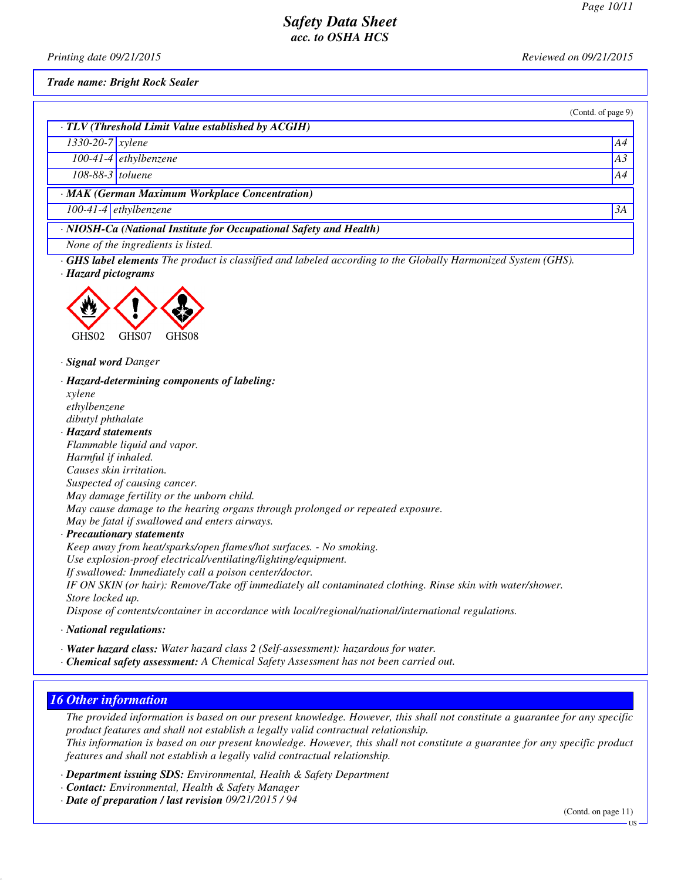(Contd. of page 9)

# *Safety Data Sheet acc. to OSHA HCS*

*Printing date 09/21/2015 Reviewed on 09/21/2015*

*Trade name: Bright Rock Sealer*

|  | TLV (Threshold Limit Value established by ACGIH) |  |
|--|--------------------------------------------------|--|
|--|--------------------------------------------------|--|

*1330-20-7 xylene A4*

*100-41-4 ethylbenzene A3*

*108-88-3 toluene A4*

*· MAK (German Maximum Workplace Concentration)*

*100-41-4 ethylbenzene 3A*

*· NIOSH-Ca (National Institute for Occupational Safety and Health)*

*None of the ingredients is listed.*

*· GHS label elements The product is classified and labeled according to the Globally Harmonized System (GHS). · Hazard pictograms*



*· Signal word Danger*

*· Hazard-determining components of labeling:*

*xylene ethylbenzene dibutyl phthalate*

*· Hazard statements*

*Flammable liquid and vapor. Harmful if inhaled. Causes skin irritation. Suspected of causing cancer. May damage fertility or the unborn child. May cause damage to the hearing organs through prolonged or repeated exposure. May be fatal if swallowed and enters airways.*

*· Precautionary statements*

*Keep away from heat/sparks/open flames/hot surfaces. - No smoking. Use explosion-proof electrical/ventilating/lighting/equipment. If swallowed: Immediately call a poison center/doctor. IF ON SKIN (or hair): Remove/Take off immediately all contaminated clothing. Rinse skin with water/shower. Store locked up. Dispose of contents/container in accordance with local/regional/national/international regulations.*

*· National regulations:*

*· Water hazard class: Water hazard class 2 (Self-assessment): hazardous for water.*

*· Chemical safety assessment: A Chemical Safety Assessment has not been carried out.*

# *16 Other information*

*The provided information is based on our present knowledge. However, this shall not constitute a guarantee for any specific product features and shall not establish a legally valid contractual relationship. This information is based on our present knowledge. However, this shall not constitute a guarantee for any specific product features and shall not establish a legally valid contractual relationship.*

*· Department issuing SDS: Environmental, Health & Safety Department*

*· Contact: Environmental, Health & Safety Manager*

*· Date of preparation / last revision 09/21/2015 / 94*

(Contd. on page 11)

US